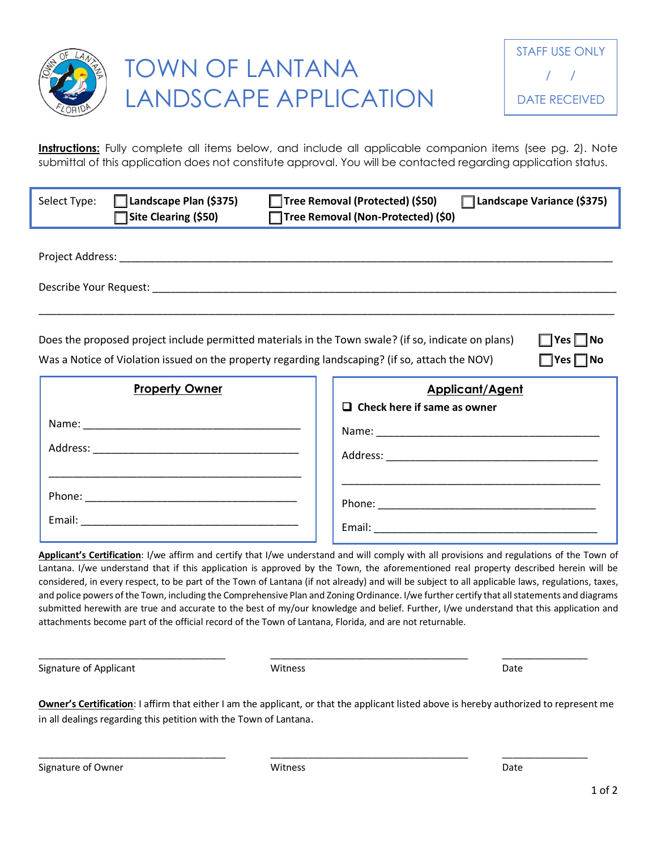

**Instructions:** Fully complete all items below, and include all applicable companion items (see pg. 2). Note submittal of this application does not constitute approval. You will be contacted regarding application status.

| Select Type:                                                                                                                                                                                                                                           | $\Box$ Landscape Plan (\$375)<br>Site Clearing (\$50)                                                               |  | Tree Removal (Protected) (\$50)<br>□ Tree Removal (Non-Protected) (\$0) | Landscape Variance (\$375) |  |
|--------------------------------------------------------------------------------------------------------------------------------------------------------------------------------------------------------------------------------------------------------|---------------------------------------------------------------------------------------------------------------------|--|-------------------------------------------------------------------------|----------------------------|--|
|                                                                                                                                                                                                                                                        |                                                                                                                     |  |                                                                         |                            |  |
| Does the proposed project include permitted materials in the Town swale? (if so, indicate on plans)<br>$\Box$ Yes $\Box$ No<br>Was a Notice of Violation issued on the property regarding landscaping? (if so, attach the NOV)<br>$\Box$ Yes $\Box$ No |                                                                                                                     |  |                                                                         |                            |  |
|                                                                                                                                                                                                                                                        | <b>Property Owner</b>                                                                                               |  | <b>Applicant/Agent</b><br>$\Box$ Check here if same as owner            |                            |  |
|                                                                                                                                                                                                                                                        |                                                                                                                     |  |                                                                         |                            |  |
|                                                                                                                                                                                                                                                        | <u> 1990 - Johann John Stoff, deutscher Stoffen und der Stoffen und der Stoffen und der Stoffen und der Stoffen</u> |  |                                                                         |                            |  |
|                                                                                                                                                                                                                                                        |                                                                                                                     |  |                                                                         |                            |  |
|                                                                                                                                                                                                                                                        |                                                                                                                     |  |                                                                         |                            |  |

**Applicant's Certification**: I/we affirm and certify that I/we understand and will comply with all provisions and regulations of the Town of Lantana. I/we understand that if this application is approved by the Town, the aforementioned real property described herein will be considered, in every respect, to be part of the Town of Lantana (if not already) and will be subject to all applicable laws, regulations, taxes, and police powers of the Town, including the Comprehensive Plan and Zoning Ordinance. I/we further certify that all statements and diagrams submitted herewith are true and accurate to the best of my/our knowledge and belief. Further, I/we understand that this application and attachments become part of the official record of the Town of Lantana, Florida, and are not returnable.

Signature of Applicant The Community Control of Applicant Community Control of Applicant Community Control of Community Control of Community Control of Community Control of Community Control of Community Control of Communi

**Owner's Certification**: I affirm that either I am the applicant, or that the applicant listed above is hereby authorized to represent me in all dealings regarding this petition with the Town of Lantana.

\_\_\_\_\_\_\_\_\_\_\_\_\_\_\_\_\_\_\_\_\_\_\_\_\_\_\_\_\_\_\_\_\_\_\_ \_\_\_\_\_\_\_\_\_\_\_\_\_\_\_\_\_\_\_\_\_\_\_\_\_\_\_\_\_\_\_\_\_\_\_\_\_ \_\_\_\_\_\_\_\_\_\_\_\_\_\_\_\_

\_\_\_\_\_\_\_\_\_\_\_\_\_\_\_\_\_\_\_\_\_\_\_\_\_\_\_\_\_\_\_\_\_\_\_ \_\_\_\_\_\_\_\_\_\_\_\_\_\_\_\_\_\_\_\_\_\_\_\_\_\_\_\_\_\_\_\_\_\_\_\_\_ \_\_\_\_\_\_\_\_\_\_\_\_\_\_\_\_

Signature of Owner **No. 2018** 2018 2019 Witness **Date** Date of Owner **Date**